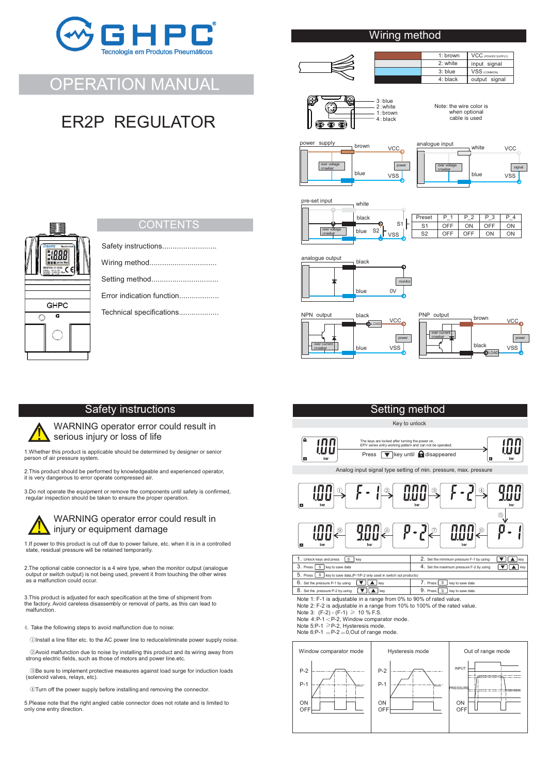

OPERATION MANUAL

ER2P REGULATOR

## Wiring method



1: brown input signal output signal  $VSS$ VCC (POWER SUP  $2 \cdot$  white 3: blue 4: black



Note: the wire color is when optional cable is used



analogue input white **VCC**  $\overline{ }$ signal over voltage crowbar blue VSS

VSS

**VCCo** 



 $\overline{s'}$ S2  $P$ reset  $\overline{P}$  $S'$ **OFF** OFF  $rac{P_2}{ON}$ OFF  $\overline{B}$ ON OFF ON  $\frac{P_4}{ON}$ ON ON .<br>vss





## **Setting method**

Key to unlock



Analog input signal type setting of min. pressure, max. pressure



| 1. Unlock kevs and press   S<br>kev                                         | 2. Set the minimum pressure F-1 by using                |     |  |  |
|-----------------------------------------------------------------------------|---------------------------------------------------------|-----|--|--|
| 3. Press S key to save data                                                 | 4. Set the maximum pressure F-2 by using                | kev |  |  |
| 5. Press   S   key to save data, (P-1\P-2 only used in switch out products) |                                                         |     |  |  |
| 6. Set the pressure P-1 by using<br>$\blacksquare$ kev                      | $\sqrt{\cdot}$ Press $\sqrt{\cdot}$<br>key to save data |     |  |  |
| 8. Set the pressure P-2 by using<br>kev                                     | 9. Press<br><b>S</b><br>key to save data                |     |  |  |
|                                                                             |                                                         |     |  |  |

Note 1: F-1 is adjustable in a range from 0% to 90% of rated value.

Note 2: F-2 is adjustable in a range from 10% to 100% of the rated value.<br>Note 3: (F-2) - (F-1) ≥ 10 % F.S.<br>Note 4:P-1 < P-2, Window comparator mode.<br>Note 5:P-1 ≥P-2, Hysteresis mode.

Note 6:P-1 =  $P-2$  = 0, Out of range mode.





**CONTENTS** 

Wiring method................................ Setting method................................

Safety instructions..........................

Error indication function...................

Technical specifications..................

## Safety instructions

WARNING operator error could result in : serious injury or loss of life

1.Whether this product is applicable should be determined by designer or senior person of air pressure system.

2.This product should be performed by knowledgeable and experienced operator, it is very dangerous to error operate compressed air.

3.Do not operate the equipment or remove the components until safety is confirmed, regular inspection should be taken to ensure the proper operation.



## WARNING operator error could result in : injury or equipment damage

1 If power to this product is cut off due to power failure, etc. when it is in a controlled state, residual pressure will be retained temporarily. .

2 The optional cable connector is a 4 wire type, when the monitor output (analogue . output or switch output) is not being used, prevent it from touching the other wires as a malfunction could occur

3 This product is adjusted for each specification at the time of shipment from . the factory. Avoid careless disassembly or removal of parts, as this can lead to malfunction.

- 4. Take the following steps to avoid malfunction due to noise:
- ① Install a line filter etc. to the AC power line to reduce/eliminate power supply noise.

② Avoid malfunction due to noise by installing this product and its wiring away from strong electric fields, such as those of motors and power line.etc.

③ Be sure to implement protective measures against load surge for induction loads (solenoid valves, relays, etc).

④ Turn off the power supply before installing and removing the connector.

5 Please note that the right angled cable connector does not rotate and is limited to . only one entry direction.